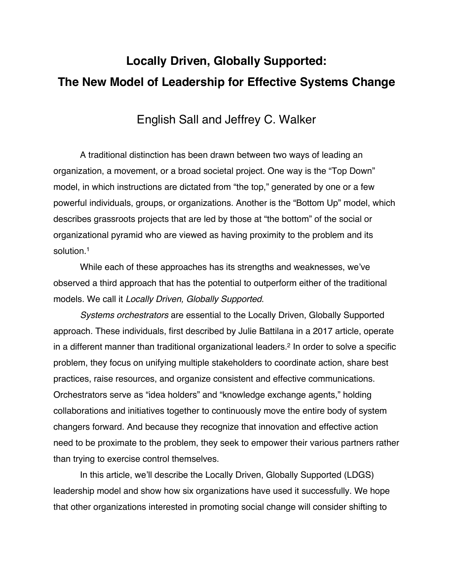# **Locally Driven, Globally Supported: The New Model of Leadership for Effective Systems Change**

## English Sall and Jeffrey C. Walker

A traditional distinction has been drawn between two ways of leading an organization, a movement, or a broad societal project. One way is the "Top Down" model, in which instructions are dictated from "the top," generated by one or a few powerful individuals, groups, or organizations. Another is the "Bottom Up" model, which describes grassroots projects that are led by those at "the bottom" of the social or organizational pyramid who are viewed as having proximity to the problem and its solution.<sup>1</sup>

While each of these approaches has its strengths and weaknesses, we've observed a third approach that has the potential to outperform either of the traditional models. We call it *Locally Driven, Globally Supported*.

*Systems orchestrators* are essential to the Locally Driven, Globally Supported approach. These individuals, first described by Julie Battilana in a 2017 article, operate in a different manner than traditional organizational leaders.<sup>2</sup> In order to solve a specific problem, they focus on unifying multiple stakeholders to coordinate action, share best practices, raise resources, and organize consistent and effective communications. Orchestrators serve as "idea holders" and "knowledge exchange agents," holding collaborations and initiatives together to continuously move the entire body of system changers forward. And because they recognize that innovation and effective action need to be proximate to the problem, they seek to empower their various partners rather than trying to exercise control themselves.

In this article, we'll describe the Locally Driven, Globally Supported (LDGS) leadership model and show how six organizations have used it successfully. We hope that other organizations interested in promoting social change will consider shifting to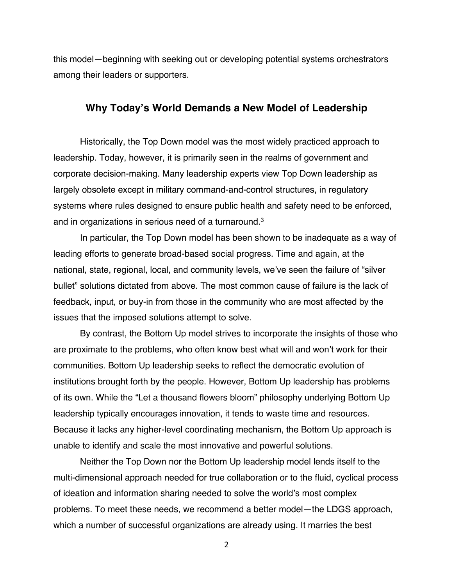this model—beginning with seeking out or developing potential systems orchestrators among their leaders or supporters.

## **Why Today's World Demands a New Model of Leadership**

Historically, the Top Down model was the most widely practiced approach to leadership. Today, however, it is primarily seen in the realms of government and corporate decision-making. Many leadership experts view Top Down leadership as largely obsolete except in military command-and-control structures, in regulatory systems where rules designed to ensure public health and safety need to be enforced, and in organizations in serious need of a turnaround. 3

In particular, the Top Down model has been shown to be inadequate as a way of leading efforts to generate broad-based social progress. Time and again, at the national, state, regional, local, and community levels, we've seen the failure of "silver bullet" solutions dictated from above. The most common cause of failure is the lack of feedback, input, or buy-in from those in the community who are most affected by the issues that the imposed solutions attempt to solve.

By contrast, the Bottom Up model strives to incorporate the insights of those who are proximate to the problems, who often know best what will and won't work for their communities. Bottom Up leadership seeks to reflect the democratic evolution of institutions brought forth by the people. However, Bottom Up leadership has problems of its own. While the "Let a thousand flowers bloom" philosophy underlying Bottom Up leadership typically encourages innovation, it tends to waste time and resources. Because it lacks any higher-level coordinating mechanism, the Bottom Up approach is unable to identify and scale the most innovative and powerful solutions.

Neither the Top Down nor the Bottom Up leadership model lends itself to the multi-dimensional approach needed for true collaboration or to the fluid, cyclical process of ideation and information sharing needed to solve the world's most complex problems. To meet these needs, we recommend a better model—the LDGS approach, which a number of successful organizations are already using. It marries the best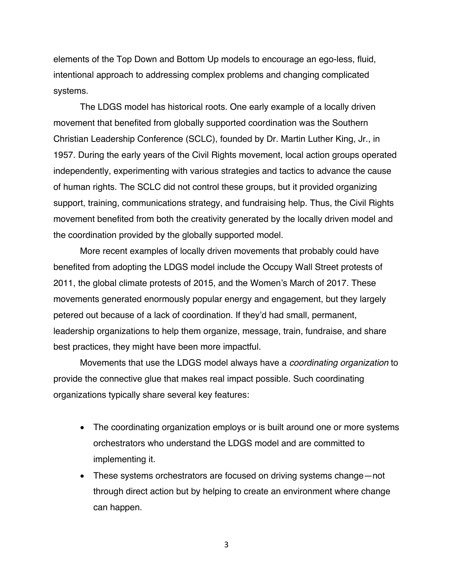elements of the Top Down and Bottom Up models to encourage an ego-less, fluid, intentional approach to addressing complex problems and changing complicated systems.

The LDGS model has historical roots. One early example of a locally driven movement that benefited from globally supported coordination was the Southern Christian Leadership Conference (SCLC), founded by Dr. Martin Luther King, Jr., in 1957. During the early years of the Civil Rights movement, local action groups operated independently, experimenting with various strategies and tactics to advance the cause of human rights. The SCLC did not control these groups, but it provided organizing support, training, communications strategy, and fundraising help. Thus, the Civil Rights movement benefited from both the creativity generated by the locally driven model and the coordination provided by the globally supported model.

More recent examples of locally driven movements that probably could have benefited from adopting the LDGS model include the Occupy Wall Street protests of 2011, the global climate protests of 2015, and the Women's March of 2017. These movements generated enormously popular energy and engagement, but they largely petered out because of a lack of coordination. If they'd had small, permanent, leadership organizations to help them organize, message, train, fundraise, and share best practices, they might have been more impactful.

Movements that use the LDGS model always have a *coordinating organization* to provide the connective glue that makes real impact possible. Such coordinating organizations typically share several key features:

- The coordinating organization employs or is built around one or more systems orchestrators who understand the LDGS model and are committed to implementing it.
- These systems orchestrators are focused on driving systems change—not through direct action but by helping to create an environment where change can happen.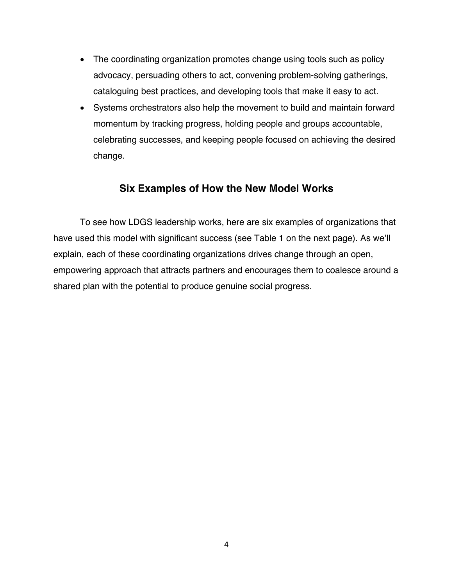- The coordinating organization promotes change using tools such as policy advocacy, persuading others to act, convening problem-solving gatherings, cataloguing best practices, and developing tools that make it easy to act.
- Systems orchestrators also help the movement to build and maintain forward momentum by tracking progress, holding people and groups accountable, celebrating successes, and keeping people focused on achieving the desired change.

## **Six Examples of How the New Model Works**

To see how LDGS leadership works, here are six examples of organizations that have used this model with significant success (see Table 1 on the next page). As we'll explain, each of these coordinating organizations drives change through an open, empowering approach that attracts partners and encourages them to coalesce around a shared plan with the potential to produce genuine social progress.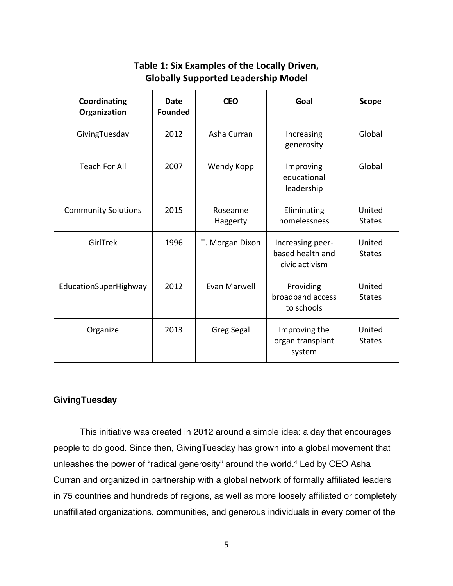| Table 1: Six Examples of the Locally Driven,<br><b>Globally Supported Leadership Model</b> |                               |                      |                                                        |                         |
|--------------------------------------------------------------------------------------------|-------------------------------|----------------------|--------------------------------------------------------|-------------------------|
| Coordinating<br>Organization                                                               | <b>Date</b><br><b>Founded</b> | <b>CEO</b>           | Goal                                                   | <b>Scope</b>            |
| GivingTuesday                                                                              | 2012                          | Asha Curran          | Increasing<br>generosity                               | Global                  |
| <b>Teach For All</b>                                                                       | 2007                          | Wendy Kopp           | Improving<br>educational<br>leadership                 | Global                  |
| <b>Community Solutions</b>                                                                 | 2015                          | Roseanne<br>Haggerty | Eliminating<br>homelessness                            | United<br><b>States</b> |
| GirlTrek                                                                                   | 1996                          | T. Morgan Dixon      | Increasing peer-<br>based health and<br>civic activism | United<br><b>States</b> |
| EducationSuperHighway                                                                      | 2012                          | Evan Marwell         | Providing<br>broadband access<br>to schools            | United<br><b>States</b> |
| Organize                                                                                   | 2013                          | <b>Greg Segal</b>    | Improving the<br>organ transplant<br>system            | United<br><b>States</b> |

## **GivingTuesday**

This initiative was created in 2012 around a simple idea: a day that encourages people to do good. Since then, GivingTuesday has grown into a global movement that unleashes the power of "radical generosity" around the world.4 Led by CEO Asha Curran and organized in partnership with a global network of formally affiliated leaders in 75 countries and hundreds of regions, as well as more loosely affiliated or completely unaffiliated organizations, communities, and generous individuals in every corner of the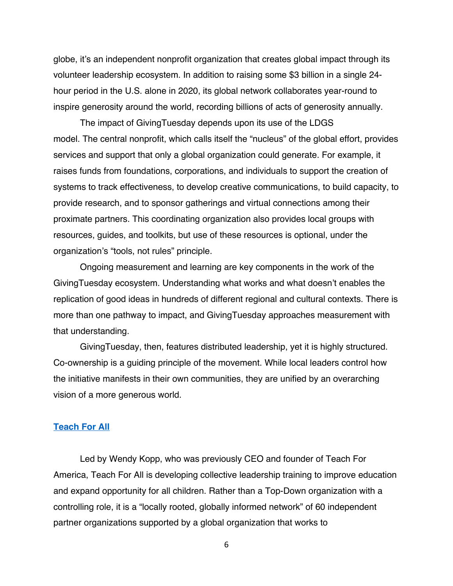globe, it's an independent nonprofit organization that creates global impact through its volunteer leadership ecosystem. In addition to raising some \$3 billion in a single 24 hour period in the U.S. alone in 2020, its global network collaborates year-round to inspire generosity around the world, recording billions of acts of generosity annually.

The impact of GivingTuesday depends upon its use of the LDGS model. The central nonprofit, which calls itself the "nucleus" of the global effort, provides services and support that only a global organization could generate. For example, it raises funds from foundations, corporations, and individuals to support the creation of systems to track effectiveness, to develop creative communications, to build capacity, to provide research, and to sponsor gatherings and virtual connections among their proximate partners. This coordinating organization also provides local groups with resources, guides, and toolkits, but use of these resources is optional, under the organization's "tools, not rules" principle.

Ongoing measurement and learning are key components in the work of the GivingTuesday ecosystem. Understanding what works and what doesn't enables the replication of good ideas in hundreds of different regional and cultural contexts. There is more than one pathway to impact, and GivingTuesday approaches measurement with that understanding.

GivingTuesday, then, features distributed leadership, yet it is highly structured. Co-ownership is a guiding principle of the movement. While local leaders control how the initiative manifests in their own communities, they are unified by an overarching vision of a more generous world.

#### **Teach For All**

Led by Wendy Kopp, who was previously CEO and founder of Teach For America, Teach For All is developing collective leadership training to improve education and expand opportunity for all children. Rather than a Top-Down organization with a controlling role, it is a "locally rooted, globally informed network" of 60 independent partner organizations supported by a global organization that works to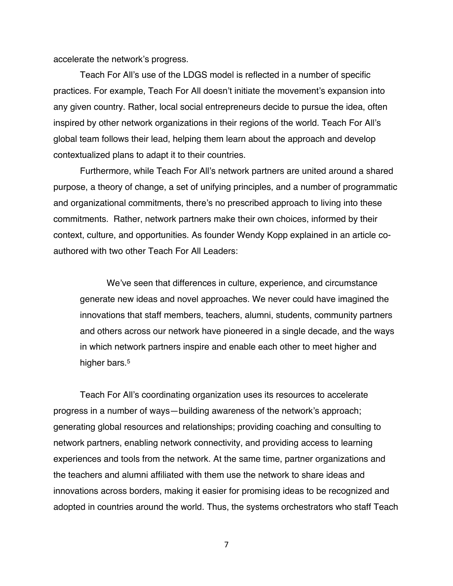accelerate the network's progress.

Teach For All's use of the LDGS model is reflected in a number of specific practices. For example, Teach For All doesn't initiate the movement's expansion into any given country. Rather, local social entrepreneurs decide to pursue the idea, often inspired by other network organizations in their regions of the world. Teach For All's global team follows their lead, helping them learn about the approach and develop contextualized plans to adapt it to their countries.

Furthermore, while Teach For All's network partners are united around a shared purpose, a theory of change, a set of unifying principles, and a number of programmatic and organizational commitments, there's no prescribed approach to living into these commitments. Rather, network partners make their own choices, informed by their context, culture, and opportunities. As founder Wendy Kopp explained in an article coauthored with two other Teach For All Leaders:

We've seen that differences in culture, experience, and circumstance generate new ideas and novel approaches. We never could have imagined the innovations that staff members, teachers, alumni, students, community partners and others across our network have pioneered in a single decade, and the ways in which network partners inspire and enable each other to meet higher and higher bars.<sup>5</sup>

Teach For All's coordinating organization uses its resources to accelerate progress in a number of ways—building awareness of the network's approach; generating global resources and relationships; providing coaching and consulting to network partners, enabling network connectivity, and providing access to learning experiences and tools from the network. At the same time, partner organizations and the teachers and alumni affiliated with them use the network to share ideas and innovations across borders, making it easier for promising ideas to be recognized and adopted in countries around the world. Thus, the systems orchestrators who staff Teach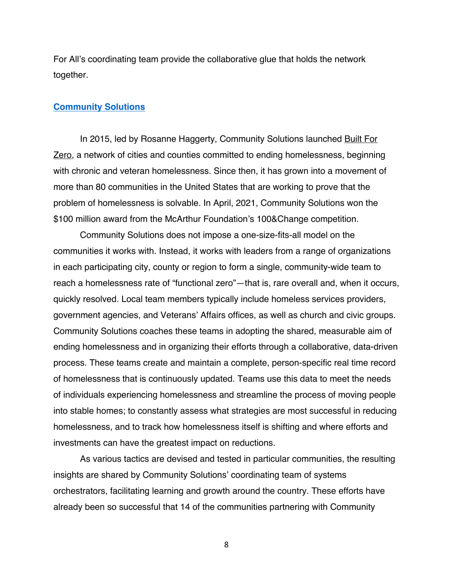For All's coordinating team provide the collaborative glue that holds the network together.

#### **Community Solutions**

In 2015, led by Rosanne Haggerty, Community Solutions launched Built For Zero, a network of cities and counties committed to ending homelessness, beginning with chronic and veteran homelessness. Since then, it has grown into a movement of more than 80 communities in the United States that are working to prove that the problem of homelessness is solvable. In April, 2021, Community Solutions won the \$100 million award from the McArthur Foundation's 100&Change competition.

Community Solutions does not impose a one-size-fits-all model on the communities it works with. Instead, it works with leaders from a range of organizations in each participating city, county or region to form a single, community-wide team to reach a homelessness rate of "functional zero"—that is, rare overall and, when it occurs, quickly resolved. Local team members typically include homeless services providers, government agencies, and Veterans' Affairs offices, as well as church and civic groups. Community Solutions coaches these teams in adopting the shared, measurable aim of ending homelessness and in organizing their efforts through a collaborative, data-driven process. These teams create and maintain a complete, person-specific real time record of homelessness that is continuously updated. Teams use this data to meet the needs of individuals experiencing homelessness and streamline the process of moving people into stable homes; to constantly assess what strategies are most successful in reducing homelessness, and to track how homelessness itself is shifting and where efforts and investments can have the greatest impact on reductions.

As various tactics are devised and tested in particular communities, the resulting insights are shared by Community Solutions' coordinating team of systems orchestrators, facilitating learning and growth around the country. These efforts have already been so successful that 14 of the communities partnering with Community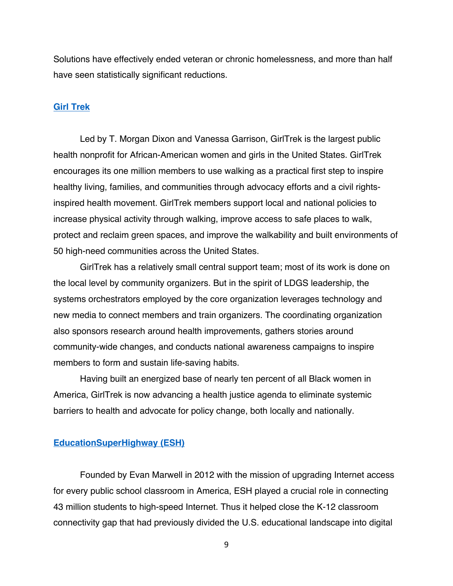Solutions have effectively ended veteran or chronic homelessness, and more than half have seen statistically significant reductions.

#### **Girl Trek**

Led by T. Morgan Dixon and Vanessa Garrison, GirlTrek is the largest public health nonprofit for African-American women and girls in the United States. GirlTrek encourages its one million members to use walking as a practical first step to inspire healthy living, families, and communities through advocacy efforts and a civil rightsinspired health movement. GirlTrek members support local and national policies to increase physical activity through walking, improve access to safe places to walk, protect and reclaim green spaces, and improve the walkability and built environments of 50 high-need communities across the United States.

GirlTrek has a relatively small central support team; most of its work is done on the local level by community organizers. But in the spirit of LDGS leadership, the systems orchestrators employed by the core organization leverages technology and new media to connect members and train organizers. The coordinating organization also sponsors research around health improvements, gathers stories around community-wide changes, and conducts national awareness campaigns to inspire members to form and sustain life-saving habits.

Having built an energized base of nearly ten percent of all Black women in America, GirlTrek is now advancing a health justice agenda to eliminate systemic barriers to health and advocate for policy change, both locally and nationally.

#### **EducationSuperHighway (ESH)**

Founded by Evan Marwell in 2012 with the mission of upgrading Internet access for every public school classroom in America, ESH played a crucial role in connecting 43 million students to high-speed Internet. Thus it helped close the K-12 classroom connectivity gap that had previously divided the U.S. educational landscape into digital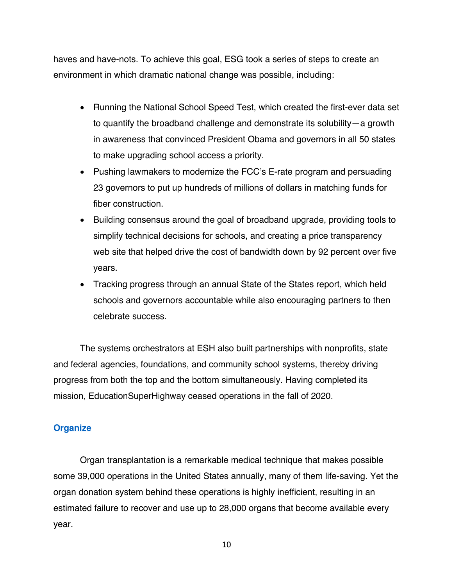haves and have-nots. To achieve this goal, ESG took a series of steps to create an environment in which dramatic national change was possible, including:

- Running the National School Speed Test, which created the first-ever data set to quantify the broadband challenge and demonstrate its solubility—a growth in awareness that convinced President Obama and governors in all 50 states to make upgrading school access a priority.
- Pushing lawmakers to modernize the FCC's E-rate program and persuading 23 governors to put up hundreds of millions of dollars in matching funds for fiber construction.
- Building consensus around the goal of broadband upgrade, providing tools to simplify technical decisions for schools, and creating a price transparency web site that helped drive the cost of bandwidth down by 92 percent over five years.
- Tracking progress through an annual State of the States report, which held schools and governors accountable while also encouraging partners to then celebrate success.

The systems orchestrators at ESH also built partnerships with nonprofits, state and federal agencies, foundations, and community school systems, thereby driving progress from both the top and the bottom simultaneously. Having completed its mission, EducationSuperHighway ceased operations in the fall of 2020.

### **Organize**

Organ transplantation is a remarkable medical technique that makes possible some 39,000 operations in the United States annually, many of them life-saving. Yet the organ donation system behind these operations is highly inefficient, resulting in an estimated failure to recover and use up to 28,000 organs that become available every year.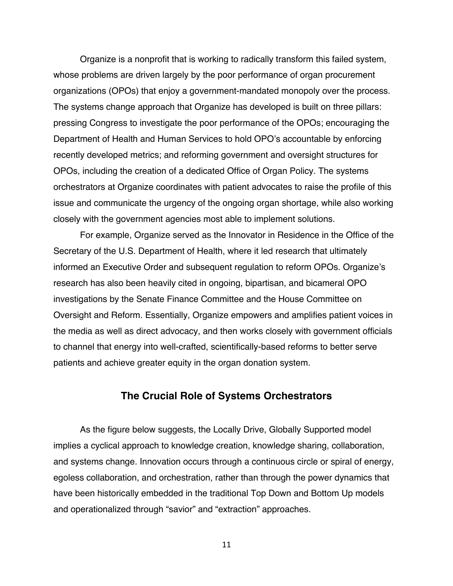Organize is a nonprofit that is working to radically transform this failed system, whose problems are driven largely by the poor performance of organ procurement organizations (OPOs) that enjoy a government-mandated monopoly over the process. The systems change approach that Organize has developed is built on three pillars: pressing Congress to investigate the poor performance of the OPOs; encouraging the Department of Health and Human Services to hold OPO's accountable by enforcing recently developed metrics; and reforming government and oversight structures for OPOs, including the creation of a dedicated Office of Organ Policy. The systems orchestrators at Organize coordinates with patient advocates to raise the profile of this issue and communicate the urgency of the ongoing organ shortage, while also working closely with the government agencies most able to implement solutions.

For example, Organize served as the Innovator in Residence in the Office of the Secretary of the U.S. Department of Health, where it led research that ultimately informed an Executive Order and subsequent regulation to reform OPOs. Organize's research has also been heavily cited in ongoing, bipartisan, and bicameral OPO investigations by the Senate Finance Committee and the House Committee on Oversight and Reform. Essentially, Organize empowers and amplifies patient voices in the media as well as direct advocacy, and then works closely with government officials to channel that energy into well-crafted, scientifically-based reforms to better serve patients and achieve greater equity in the organ donation system.

## **The Crucial Role of Systems Orchestrators**

As the figure below suggests, the Locally Drive, Globally Supported model implies a cyclical approach to knowledge creation, knowledge sharing, collaboration, and systems change. Innovation occurs through a continuous circle or spiral of energy, egoless collaboration, and orchestration, rather than through the power dynamics that have been historically embedded in the traditional Top Down and Bottom Up models and operationalized through "savior" and "extraction" approaches.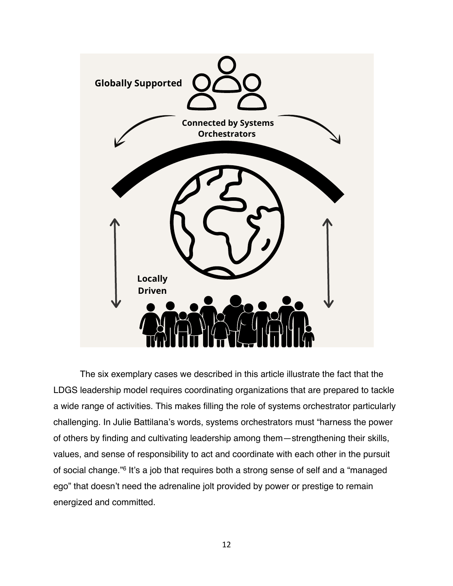

The six exemplary cases we described in this article illustrate the fact that the LDGS leadership model requires coordinating organizations that are prepared to tackle a wide range of activities. This makes filling the role of systems orchestrator particularly challenging. In Julie Battilana's words, systems orchestrators must "harness the power of others by finding and cultivating leadership among them—strengthening their skills, values, and sense of responsibility to act and coordinate with each other in the pursuit of social change."6 It's a job that requires both a strong sense of self and a "managed ego" that doesn't need the adrenaline jolt provided by power or prestige to remain energized and committed.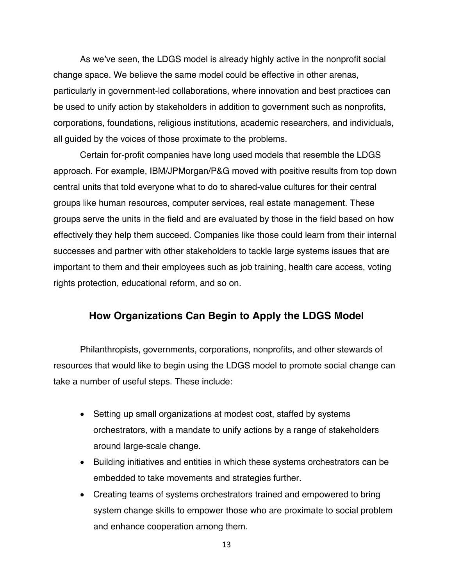As we've seen, the LDGS model is already highly active in the nonprofit social change space. We believe the same model could be effective in other arenas, particularly in government-led collaborations, where innovation and best practices can be used to unify action by stakeholders in addition to government such as nonprofits, corporations, foundations, religious institutions, academic researchers, and individuals, all guided by the voices of those proximate to the problems.

Certain for-profit companies have long used models that resemble the LDGS approach. For example, IBM/JPMorgan/P&G moved with positive results from top down central units that told everyone what to do to shared-value cultures for their central groups like human resources, computer services, real estate management. These groups serve the units in the field and are evaluated by those in the field based on how effectively they help them succeed. Companies like those could learn from their internal successes and partner with other stakeholders to tackle large systems issues that are important to them and their employees such as job training, health care access, voting rights protection, educational reform, and so on.

## **How Organizations Can Begin to Apply the LDGS Model**

Philanthropists, governments, corporations, nonprofits, and other stewards of resources that would like to begin using the LDGS model to promote social change can take a number of useful steps. These include:

- Setting up small organizations at modest cost, staffed by systems orchestrators, with a mandate to unify actions by a range of stakeholders around large-scale change.
- Building initiatives and entities in which these systems orchestrators can be embedded to take movements and strategies further.
- Creating teams of systems orchestrators trained and empowered to bring system change skills to empower those who are proximate to social problem and enhance cooperation among them.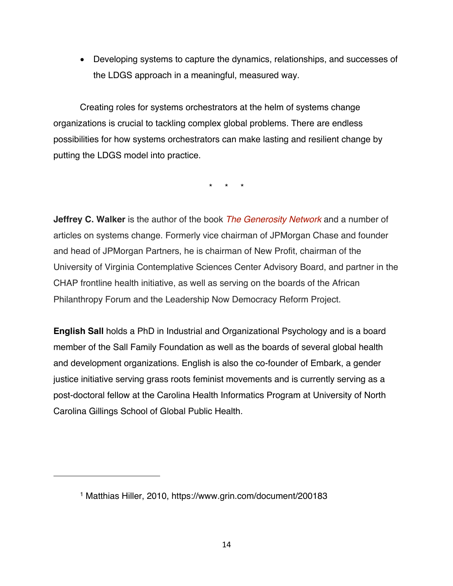• Developing systems to capture the dynamics, relationships, and successes of the LDGS approach in a meaningful, measured way.

Creating roles for systems orchestrators at the helm of systems change organizations is crucial to tackling complex global problems. There are endless possibilities for how systems orchestrators can make lasting and resilient change by putting the LDGS model into practice.

\* \* \*

**Jeffrey C. Walker** is the author of the book *The Generosity Network* and a number of articles on systems change. Formerly vice chairman of JPMorgan Chase and founder and head of JPMorgan Partners, he is chairman of New Profit, chairman of the University of Virginia Contemplative Sciences Center Advisory Board, and partner in the CHAP frontline health initiative, as well as serving on the boards of the African Philanthropy Forum and the Leadership Now Democracy Reform Project.

**English Sall** holds a PhD in Industrial and Organizational Psychology and is a board member of the Sall Family Foundation as well as the boards of several global health and development organizations. English is also the co-founder of Embark, a gender justice initiative serving grass roots feminist movements and is currently serving as a post-doctoral fellow at the Carolina Health Informatics Program at University of North Carolina Gillings School of Global Public Health.

<sup>1</sup> Matthias Hiller, 2010, https://www.grin.com/document/200183